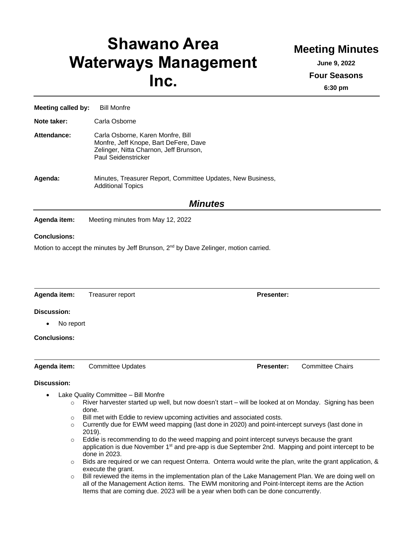# **Shawano Area Waterways Management Inc.**

## **Meeting Minutes**

**June 9, 2022**

**Four Seasons**

**6:30 pm**

**Meeting called by:** Bill Monfre **Note taker:** Carla Osborne **Attendance:** Carla Osborne, Karen Monfre, Bill Monfre, Jeff Knope, Bart DeFere, Dave Zelinger, Nitta Charnon, Jeff Brunson, Paul Seidenstricker **Agenda:** Minutes, Treasurer Report, Committee Updates, New Business, Additional Topics *Minutes*

**Agenda item:** Meeting minutes from May 12, 2022

#### **Conclusions:**

Motion to accept the minutes by Jeff Brunson,  $2<sup>nd</sup>$  by Dave Zelinger, motion carried.

| Agenda item:           | Treasurer report         | <b>Presenter:</b> |                         |
|------------------------|--------------------------|-------------------|-------------------------|
| <b>Discussion:</b>     |                          |                   |                         |
| No report<br>$\bullet$ |                          |                   |                         |
| <b>Conclusions:</b>    |                          |                   |                         |
| Agenda item:           | <b>Committee Updates</b> | <b>Presenter:</b> | <b>Committee Chairs</b> |

#### **Discussion:**

- Lake Quality Committee Bill Monfre
	- $\circ$  River harvester started up well, but now doesn't start will be looked at on Monday. Signing has been done.
	- $\circ$  Bill met with Eddie to review upcoming activities and associated costs.
	- $\circ$  Currently due for EWM weed mapping (last done in 2020) and point-intercept surveys (last done in 2019).
	- $\circ$  Eddie is recommending to do the weed mapping and point intercept surveys because the grant application is due November 1<sup>st</sup> and pre-app is due September 2nd. Mapping and point intercept to be done in 2023.
	- $\circ$  Bids are required or we can request Onterra. Onterra would write the plan, write the grant application, & execute the grant.
	- $\circ$  Bill reviewed the items in the implementation plan of the Lake Management Plan. We are doing well on all of the Management Action items. The EWM monitoring and Point-Intercept items are the Action Items that are coming due. 2023 will be a year when both can be done concurrently.